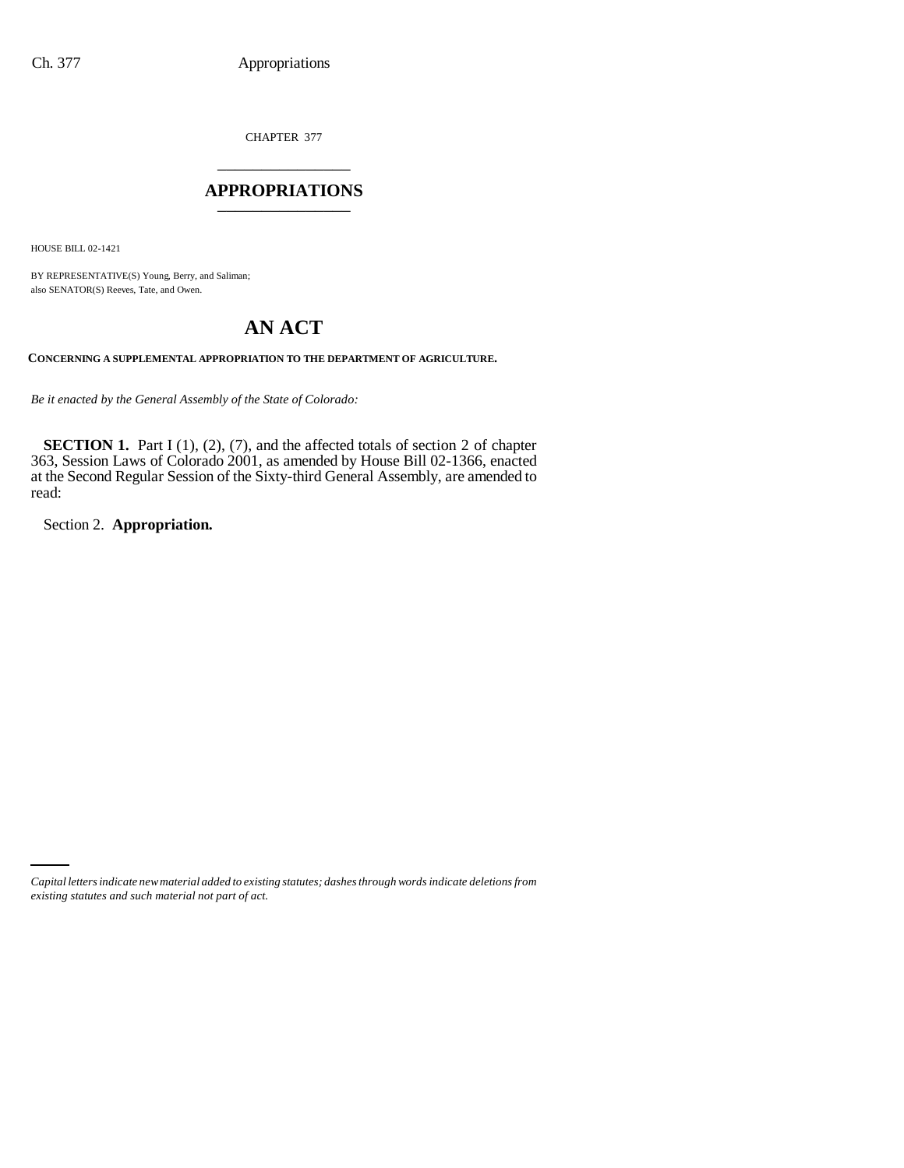CHAPTER 377 \_\_\_\_\_\_\_\_\_\_\_\_\_\_\_

### **APPROPRIATIONS** \_\_\_\_\_\_\_\_\_\_\_\_\_\_\_

HOUSE BILL 02-1421

BY REPRESENTATIVE(S) Young, Berry, and Saliman; also SENATOR(S) Reeves, Tate, and Owen.

# **AN ACT**

**CONCERNING A SUPPLEMENTAL APPROPRIATION TO THE DEPARTMENT OF AGRICULTURE.**

*Be it enacted by the General Assembly of the State of Colorado:*

**SECTION 1.** Part I (1), (2), (7), and the affected totals of section 2 of chapter 363, Session Laws of Colorado 2001, as amended by House Bill 02-1366, enacted at the Second Regular Session of the Sixty-third General Assembly, are amended to read:

Section 2. **Appropriation.**

*Capital letters indicate new material added to existing statutes; dashes through words indicate deletions from existing statutes and such material not part of act.*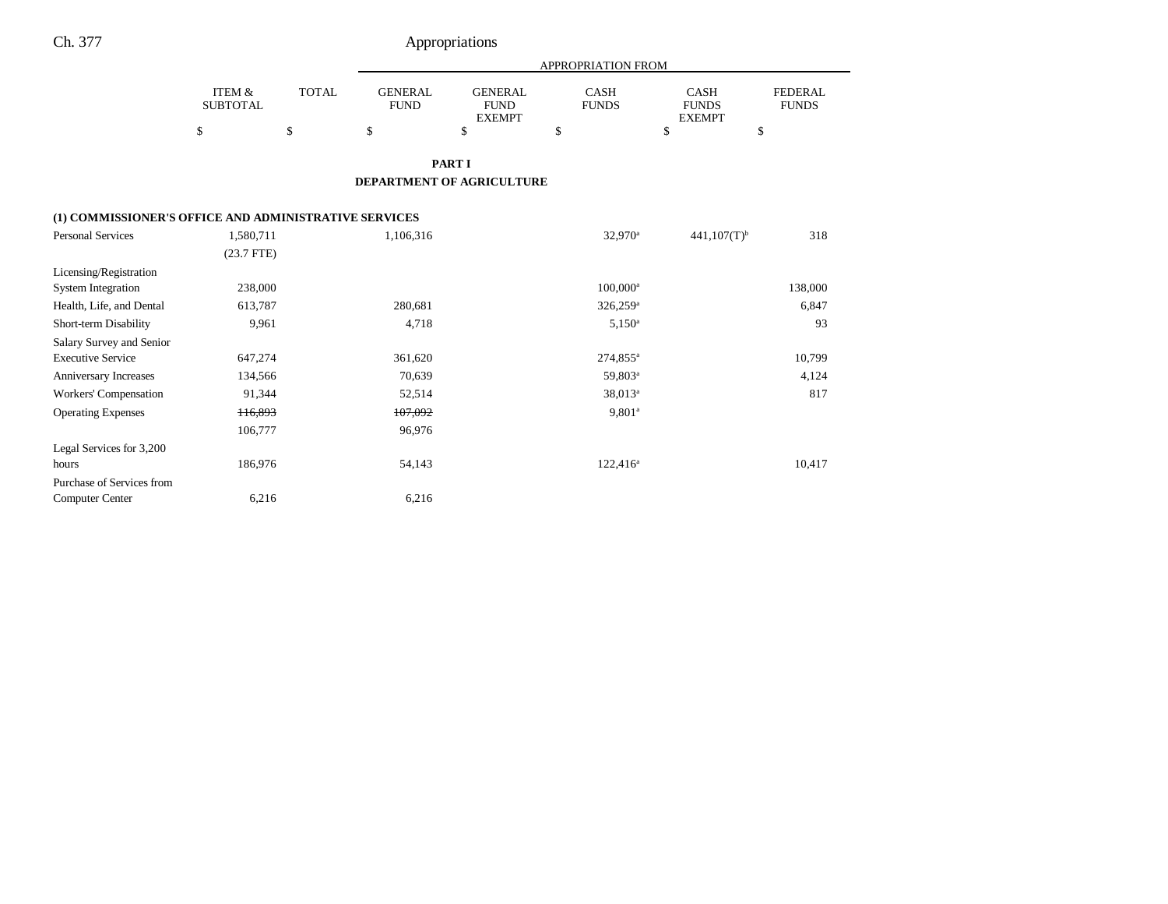# Ch. 377 Appropriations

|                                                       |                           |              | APPROPRIATION FROM            |                                                |                             |                                              |                                |  |
|-------------------------------------------------------|---------------------------|--------------|-------------------------------|------------------------------------------------|-----------------------------|----------------------------------------------|--------------------------------|--|
|                                                       | ITEM &<br><b>SUBTOTAL</b> | <b>TOTAL</b> | <b>GENERAL</b><br><b>FUND</b> | <b>GENERAL</b><br><b>FUND</b><br><b>EXEMPT</b> | <b>CASH</b><br><b>FUNDS</b> | <b>CASH</b><br><b>FUNDS</b><br><b>EXEMPT</b> | <b>FEDERAL</b><br><b>FUNDS</b> |  |
|                                                       | \$                        | \$           | \$                            | \$                                             | \$                          | \$                                           | \$                             |  |
|                                                       |                           |              |                               | <b>PART I</b>                                  |                             |                                              |                                |  |
|                                                       |                           |              |                               | <b>DEPARTMENT OF AGRICULTURE</b>               |                             |                                              |                                |  |
| (1) COMMISSIONER'S OFFICE AND ADMINISTRATIVE SERVICES |                           |              |                               |                                                |                             |                                              |                                |  |
| <b>Personal Services</b>                              | 1,580,711                 |              | 1,106,316                     |                                                | 32,970 <sup>a</sup>         | $441,107(T)$ <sup>b</sup>                    | 318                            |  |
|                                                       | $(23.7$ FTE)              |              |                               |                                                |                             |                                              |                                |  |
| Licensing/Registration                                |                           |              |                               |                                                |                             |                                              |                                |  |
| <b>System Integration</b>                             | 238,000                   |              |                               |                                                | 100,000 <sup>a</sup>        |                                              | 138,000                        |  |
| Health, Life, and Dental                              | 613,787                   |              | 280,681                       |                                                | 326,259 <sup>a</sup>        |                                              | 6,847                          |  |
| Short-term Disability                                 | 9,961                     |              | 4,718                         |                                                | $5,150^a$                   |                                              | 93                             |  |
| Salary Survey and Senior                              |                           |              |                               |                                                |                             |                                              |                                |  |
| <b>Executive Service</b>                              | 647,274                   |              | 361,620                       |                                                | 274,855 <sup>a</sup>        |                                              | 10,799                         |  |
| Anniversary Increases                                 | 134,566                   |              | 70,639                        |                                                | 59,803 <sup>a</sup>         |                                              | 4,124                          |  |
| Workers' Compensation                                 | 91,344                    |              | 52,514                        |                                                | 38,013 <sup>a</sup>         |                                              | 817                            |  |
| <b>Operating Expenses</b>                             | 116,893                   |              | 107,092                       |                                                | $9,801^a$                   |                                              |                                |  |
|                                                       | 106,777                   |              | 96,976                        |                                                |                             |                                              |                                |  |
| Legal Services for 3,200                              |                           |              |                               |                                                |                             |                                              |                                |  |
| hours                                                 | 186,976                   |              | 54,143                        |                                                | $122,416^a$                 |                                              | 10,417                         |  |
| Purchase of Services from                             |                           |              |                               |                                                |                             |                                              |                                |  |
| <b>Computer Center</b>                                | 6,216                     |              | 6,216                         |                                                |                             |                                              |                                |  |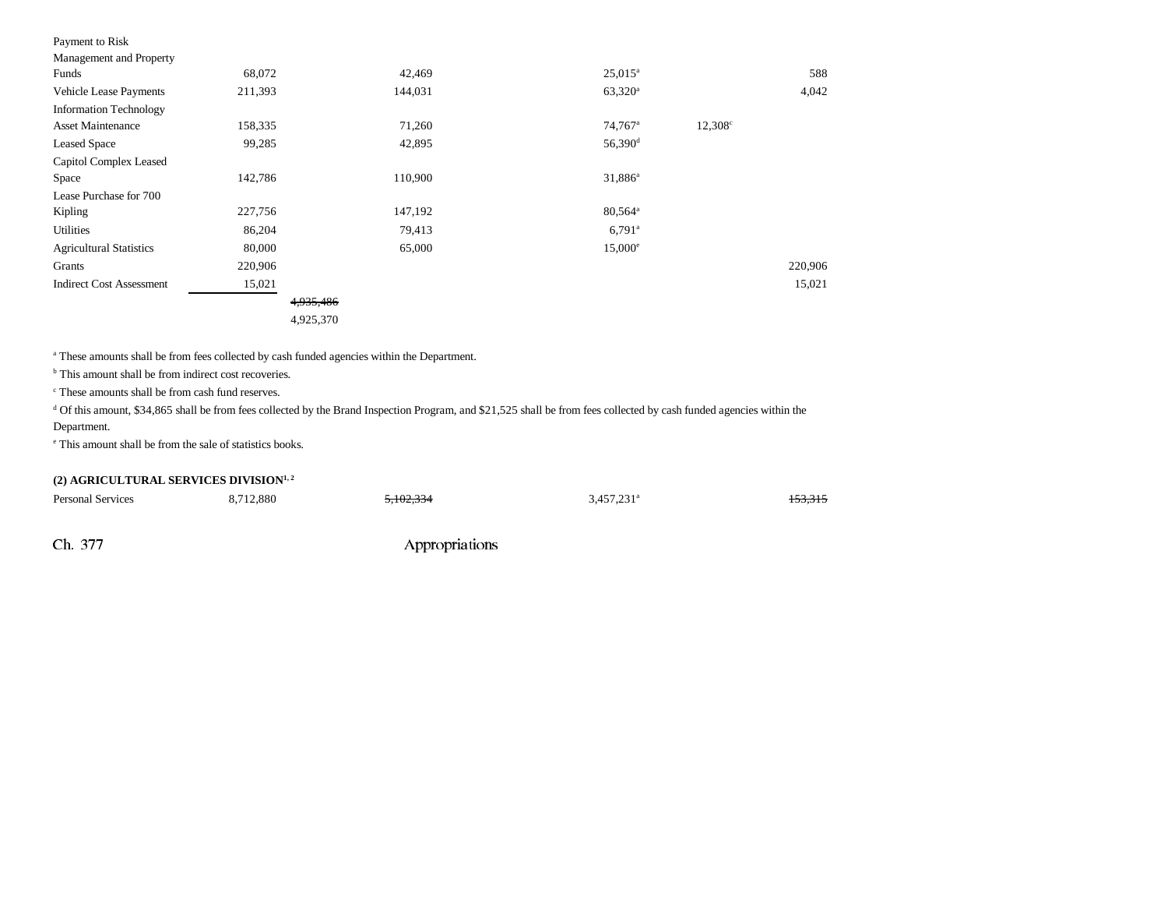| Payment to Risk                 |         |         |                      |                  |         |
|---------------------------------|---------|---------|----------------------|------------------|---------|
| Management and Property         |         |         |                      |                  |         |
| Funds                           | 68,072  | 42,469  | $25,015^{\circ}$     |                  | 588     |
| <b>Vehicle Lease Payments</b>   | 211,393 | 144,031 | $63,320^{\rm a}$     |                  | 4,042   |
| <b>Information Technology</b>   |         |         |                      |                  |         |
| <b>Asset Maintenance</b>        | 158,335 | 71,260  | 74,767 <sup>a</sup>  | $12,308^{\circ}$ |         |
| <b>Leased Space</b>             | 99,285  | 42,895  | 56,390 <sup>d</sup>  |                  |         |
| Capitol Complex Leased          |         |         |                      |                  |         |
| Space                           | 142,786 | 110,900 | 31,886 <sup>a</sup>  |                  |         |
| Lease Purchase for 700          |         |         |                      |                  |         |
| Kipling                         | 227,756 | 147,192 | $80,564^{\circ}$     |                  |         |
| Utilities                       | 86,204  | 79,413  | $6,791$ <sup>a</sup> |                  |         |
| <b>Agricultural Statistics</b>  | 80,000  | 65,000  | $15,000^{\circ}$     |                  |         |
| Grants                          | 220,906 |         |                      |                  | 220,906 |
| <b>Indirect Cost Assessment</b> | 15,021  |         |                      |                  | 15,021  |

4,935,486 4,925,370

a These amounts shall be from fees collected by cash funded agencies within the Department.

<sup>b</sup> This amount shall be from indirect cost recoveries.

c These amounts shall be from cash fund reserves.

<sup>d</sup> Of this amount, \$34,865 shall be from fees collected by the Brand Inspection Program, and \$21,525 shall be from fees collected by cash funded agencies within the

### Department.

e This amount shall be from the sale of statistics books.

### (2) AGRICULTURAL SERVICES DIVISION<sup>1, 2</sup>

| <b>Personal Services</b> | 8,712,880 | 5,102,334 | $3,457,231$ <sup>a</sup> | <del>153,315</del> |
|--------------------------|-----------|-----------|--------------------------|--------------------|
|                          |           |           |                          |                    |

Ch. 377 Appropriations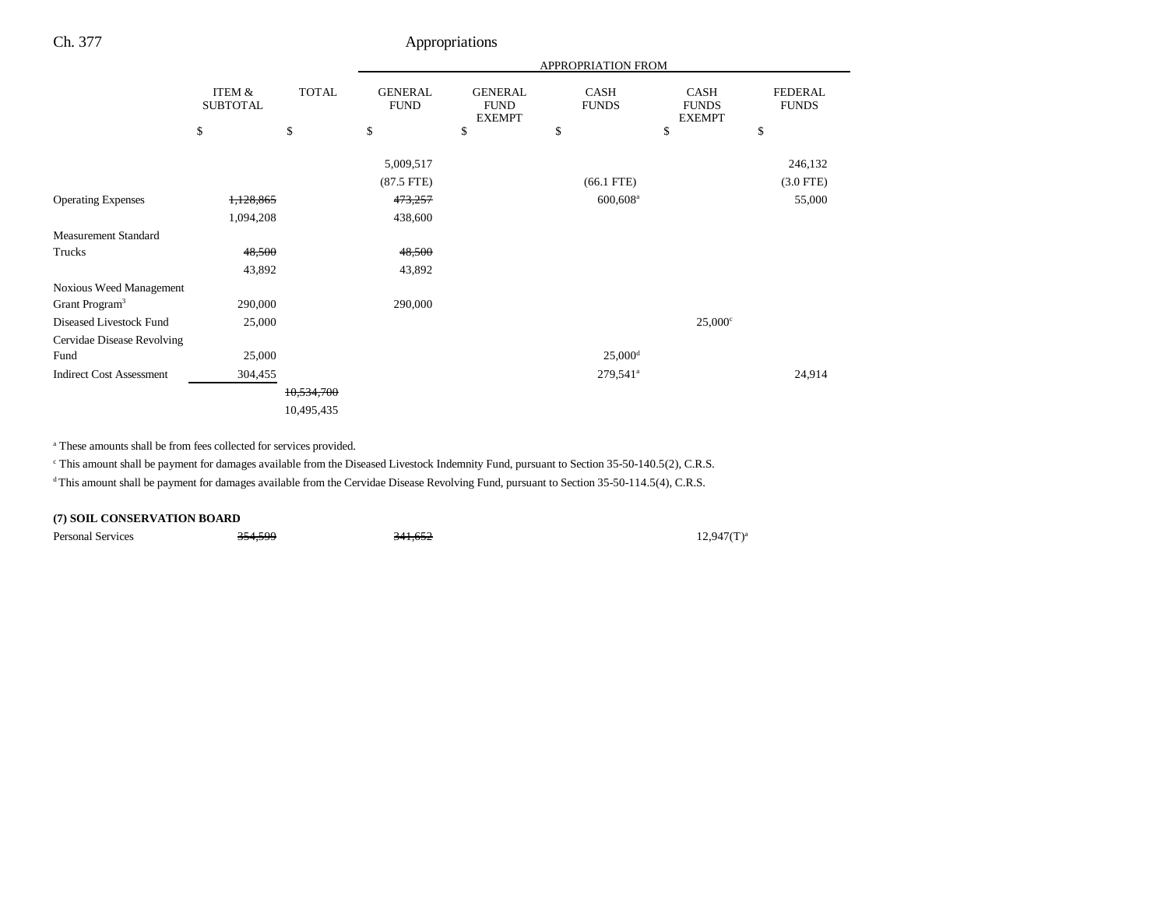## Ch. 377 Appropriations

|                                 |                                      |              | APPROPRIATION FROM            |                                                |                        |                                       |                                |
|---------------------------------|--------------------------------------|--------------|-------------------------------|------------------------------------------------|------------------------|---------------------------------------|--------------------------------|
|                                 | <b>ITEM &amp;</b><br><b>SUBTOTAL</b> | <b>TOTAL</b> | <b>GENERAL</b><br><b>FUND</b> | <b>GENERAL</b><br><b>FUND</b><br><b>EXEMPT</b> | CASH<br><b>FUNDS</b>   | CASH<br><b>FUNDS</b><br><b>EXEMPT</b> | <b>FEDERAL</b><br><b>FUNDS</b> |
|                                 | \$                                   | \$           | \$                            | \$                                             | \$                     | \$                                    | \$                             |
|                                 |                                      |              | 5,009,517                     |                                                |                        |                                       | 246,132                        |
|                                 |                                      |              | $(87.5$ FTE)                  |                                                | $(66.1$ FTE)           |                                       | $(3.0$ FTE $)$                 |
| <b>Operating Expenses</b>       | 1,128,865                            |              | 473,257                       |                                                | 600,608 <sup>a</sup>   |                                       | 55,000                         |
|                                 | 1,094,208                            |              | 438,600                       |                                                |                        |                                       |                                |
| <b>Measurement Standard</b>     |                                      |              |                               |                                                |                        |                                       |                                |
| Trucks                          | 48,500                               |              | 48,500                        |                                                |                        |                                       |                                |
|                                 | 43,892                               |              | 43,892                        |                                                |                        |                                       |                                |
| Noxious Weed Management         |                                      |              |                               |                                                |                        |                                       |                                |
| Grant Program <sup>3</sup>      | 290,000                              |              | 290,000                       |                                                |                        |                                       |                                |
| Diseased Livestock Fund         | 25,000                               |              |                               |                                                |                        | $25,000^{\circ}$                      |                                |
| Cervidae Disease Revolving      |                                      |              |                               |                                                |                        |                                       |                                |
| Fund                            | 25,000                               |              |                               |                                                | $25,000$ <sup>d</sup>  |                                       |                                |
| <b>Indirect Cost Assessment</b> | 304,455                              |              |                               |                                                | $279,541$ <sup>a</sup> |                                       | 24,914                         |
|                                 |                                      | 10,534,700   |                               |                                                |                        |                                       |                                |
|                                 |                                      | 10,495,435   |                               |                                                |                        |                                       |                                |

a These amounts shall be from fees collected for services provided.

c This amount shall be payment for damages available from the Diseased Livestock Indemnity Fund, pursuant to Section 35-50-140.5(2), C.R.S.

<sup>d</sup> This amount shall be payment for damages available from the Cervidae Disease Revolving Fund, pursuant to Section 35-50-114.5(4), C.R.S.

### **(7) SOIL CONSERVATION BOARD**

Personal Services  $\frac{354,599}{2}$   $\frac{341,652}{2}$  12,947(T)<sup>a</sup>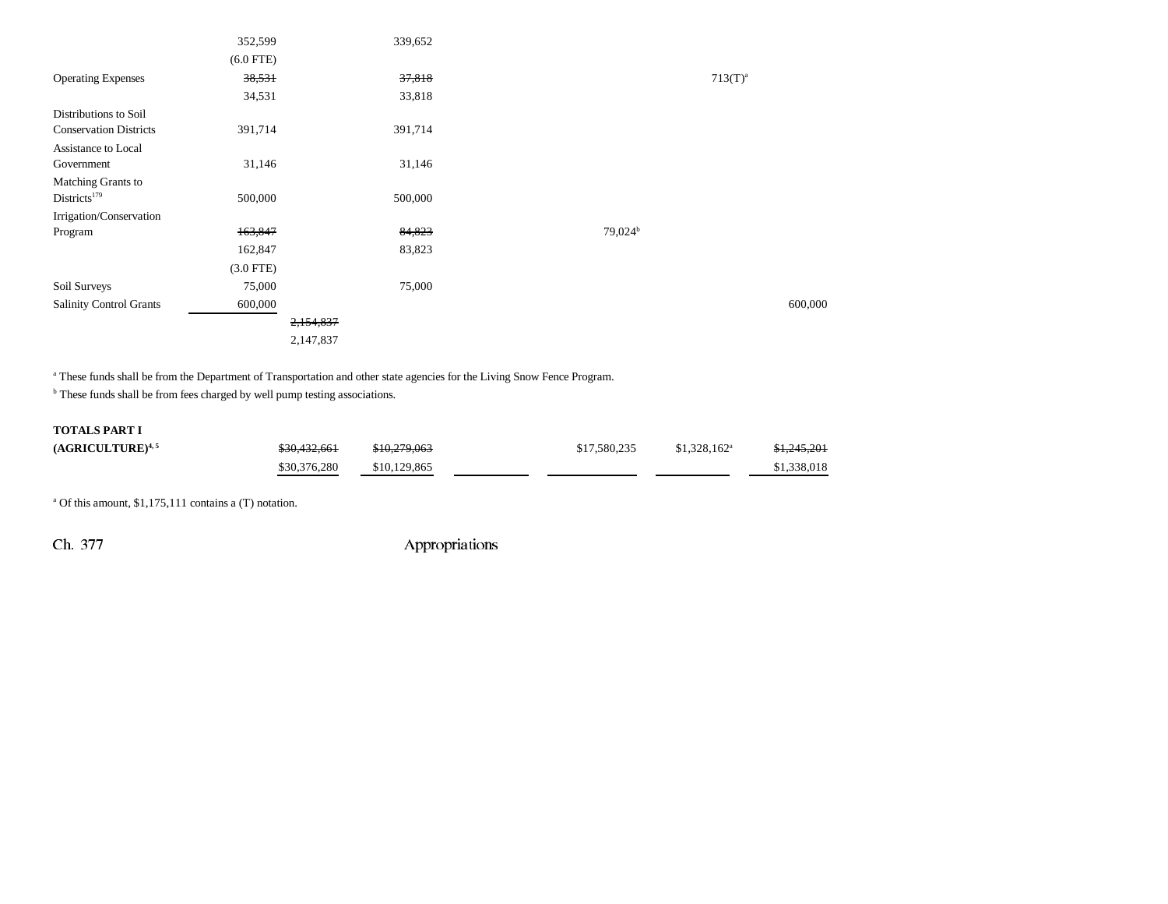|                               | 352,599     | 339,652   |                     |              |
|-------------------------------|-------------|-----------|---------------------|--------------|
|                               | $(6.0$ FTE) |           |                     |              |
| <b>Operating Expenses</b>     | 38,531      | 37,818    |                     | $713(T)^{a}$ |
|                               | 34,531      | 33,818    |                     |              |
| Distributions to Soil         |             |           |                     |              |
| <b>Conservation Districts</b> | 391,714     | 391,714   |                     |              |
| Assistance to Local           |             |           |                     |              |
| Government                    | 31,146      | 31,146    |                     |              |
| Matching Grants to            |             |           |                     |              |
| Districts <sup>179</sup>      | 500,000     | 500,000   |                     |              |
| Irrigation/Conservation       |             |           |                     |              |
| Program                       | 163,847     | 84,823    | 79,024 <sup>b</sup> |              |
|                               | 162,847     | 83,823    |                     |              |
|                               | $(3.0$ FTE) |           |                     |              |
| Soil Surveys                  | 75,000      | 75,000    |                     |              |
| Salinity Control Grants       | 600,000     |           |                     | 600,000      |
|                               |             | 2,154,837 |                     |              |
|                               |             | 2,147,837 |                     |              |

<sup>a</sup> These funds shall be from the Department of Transportation and other state agencies for the Living Snow Fence Program.

 $<sup>b</sup>$  These funds shall be from fees charged by well pump testing associations.</sup>

### **TOTALS PART I**

| $(AGRICULTURE)^{4,5}$ | \$30,432,661 | \$10,279,063 | \$17,580,235 | $$1,328,162^a$ | \$1,245,201 |
|-----------------------|--------------|--------------|--------------|----------------|-------------|
|                       | \$30,376,280 | \$10,129,865 |              |                | \$1,338,018 |

a Of this amount, \$1,175,111 contains a (T) notation.

Ch. 377 Appropriations